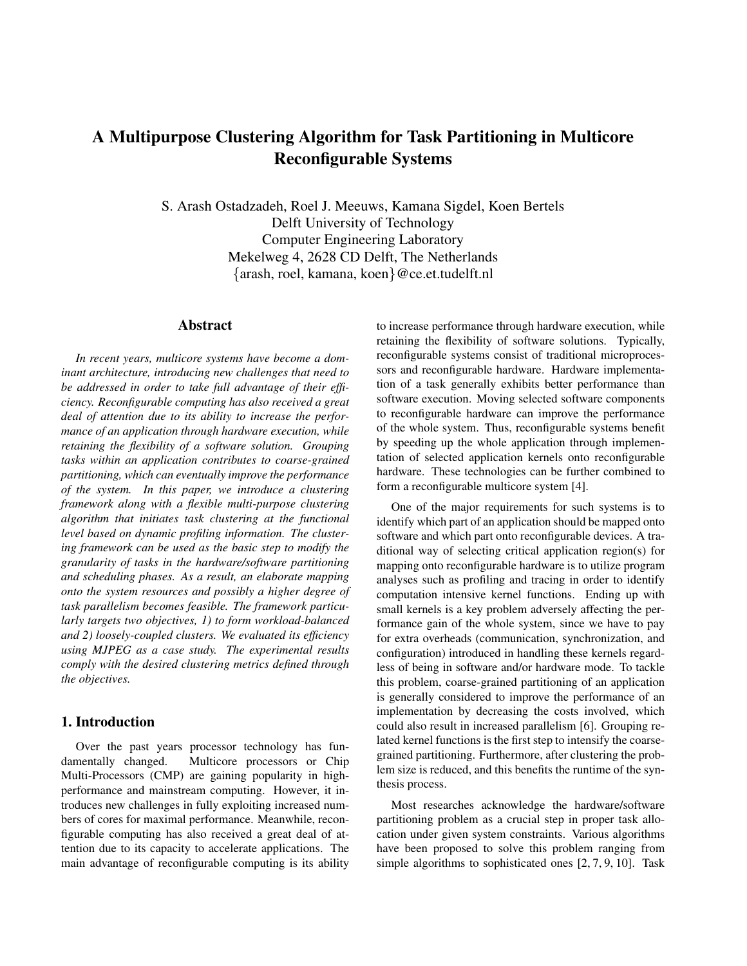# A Multipurpose Clustering Algorithm for Task Partitioning in Multicore Reconfigurable Systems

S. Arash Ostadzadeh, Roel J. Meeuws, Kamana Sigdel, Koen Bertels Delft University of Technology Computer Engineering Laboratory Mekelweg 4, 2628 CD Delft, The Netherlands {arash, roel, kamana, koen}@ce.et.tudelft.nl

#### Abstract

*In recent years, multicore systems have become a dominant architecture, introducing new challenges that need to be addressed in order to take full advantage of their efficiency. Reconfigurable computing has also received a great deal of attention due to its ability to increase the performance of an application through hardware execution, while retaining the flexibility of a software solution. Grouping tasks within an application contributes to coarse-grained partitioning, which can eventually improve the performance of the system. In this paper, we introduce a clustering framework along with a flexible multi-purpose clustering algorithm that initiates task clustering at the functional level based on dynamic profiling information. The clustering framework can be used as the basic step to modify the granularity of tasks in the hardware/software partitioning and scheduling phases. As a result, an elaborate mapping onto the system resources and possibly a higher degree of task parallelism becomes feasible. The framework particularly targets two objectives, 1) to form workload-balanced and 2) loosely-coupled clusters. We evaluated its efficiency using MJPEG as a case study. The experimental results comply with the desired clustering metrics defined through the objectives.*

### 1. Introduction

Over the past years processor technology has fundamentally changed. Multicore processors or Chip Multi-Processors (CMP) are gaining popularity in highperformance and mainstream computing. However, it introduces new challenges in fully exploiting increased numbers of cores for maximal performance. Meanwhile, reconfigurable computing has also received a great deal of attention due to its capacity to accelerate applications. The main advantage of reconfigurable computing is its ability to increase performance through hardware execution, while retaining the flexibility of software solutions. Typically, reconfigurable systems consist of traditional microprocessors and reconfigurable hardware. Hardware implementation of a task generally exhibits better performance than software execution. Moving selected software components to reconfigurable hardware can improve the performance of the whole system. Thus, reconfigurable systems benefit by speeding up the whole application through implementation of selected application kernels onto reconfigurable hardware. These technologies can be further combined to form a reconfigurable multicore system [4].

One of the major requirements for such systems is to identify which part of an application should be mapped onto software and which part onto reconfigurable devices. A traditional way of selecting critical application region(s) for mapping onto reconfigurable hardware is to utilize program analyses such as profiling and tracing in order to identify computation intensive kernel functions. Ending up with small kernels is a key problem adversely affecting the performance gain of the whole system, since we have to pay for extra overheads (communication, synchronization, and configuration) introduced in handling these kernels regardless of being in software and/or hardware mode. To tackle this problem, coarse-grained partitioning of an application is generally considered to improve the performance of an implementation by decreasing the costs involved, which could also result in increased parallelism [6]. Grouping related kernel functions is the first step to intensify the coarsegrained partitioning. Furthermore, after clustering the problem size is reduced, and this benefits the runtime of the synthesis process.

Most researches acknowledge the hardware/software partitioning problem as a crucial step in proper task allocation under given system constraints. Various algorithms have been proposed to solve this problem ranging from simple algorithms to sophisticated ones [2, 7, 9, 10]. Task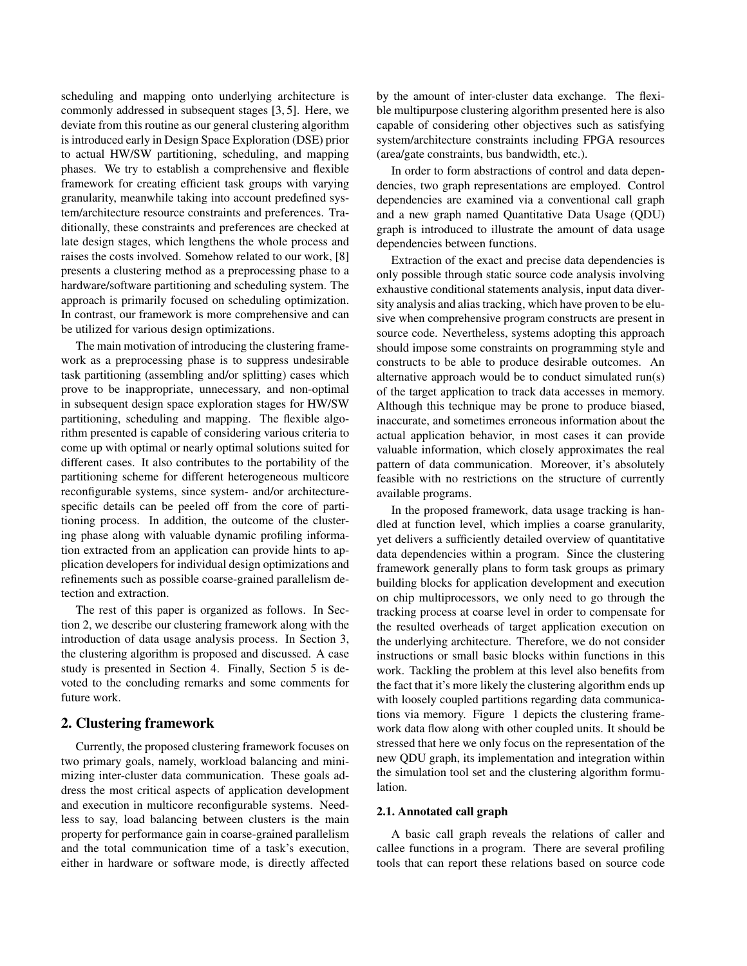scheduling and mapping onto underlying architecture is commonly addressed in subsequent stages [3, 5]. Here, we deviate from this routine as our general clustering algorithm is introduced early in Design Space Exploration (DSE) prior to actual HW/SW partitioning, scheduling, and mapping phases. We try to establish a comprehensive and flexible framework for creating efficient task groups with varying granularity, meanwhile taking into account predefined system/architecture resource constraints and preferences. Traditionally, these constraints and preferences are checked at late design stages, which lengthens the whole process and raises the costs involved. Somehow related to our work, [8] presents a clustering method as a preprocessing phase to a hardware/software partitioning and scheduling system. The approach is primarily focused on scheduling optimization. In contrast, our framework is more comprehensive and can be utilized for various design optimizations.

The main motivation of introducing the clustering framework as a preprocessing phase is to suppress undesirable task partitioning (assembling and/or splitting) cases which prove to be inappropriate, unnecessary, and non-optimal in subsequent design space exploration stages for HW/SW partitioning, scheduling and mapping. The flexible algorithm presented is capable of considering various criteria to come up with optimal or nearly optimal solutions suited for different cases. It also contributes to the portability of the partitioning scheme for different heterogeneous multicore reconfigurable systems, since system- and/or architecturespecific details can be peeled off from the core of partitioning process. In addition, the outcome of the clustering phase along with valuable dynamic profiling information extracted from an application can provide hints to application developers for individual design optimizations and refinements such as possible coarse-grained parallelism detection and extraction.

The rest of this paper is organized as follows. In Section 2, we describe our clustering framework along with the introduction of data usage analysis process. In Section 3, the clustering algorithm is proposed and discussed. A case study is presented in Section 4. Finally, Section 5 is devoted to the concluding remarks and some comments for future work.

## 2. Clustering framework

Currently, the proposed clustering framework focuses on two primary goals, namely, workload balancing and minimizing inter-cluster data communication. These goals address the most critical aspects of application development and execution in multicore reconfigurable systems. Needless to say, load balancing between clusters is the main property for performance gain in coarse-grained parallelism and the total communication time of a task's execution, either in hardware or software mode, is directly affected by the amount of inter-cluster data exchange. The flexible multipurpose clustering algorithm presented here is also capable of considering other objectives such as satisfying system/architecture constraints including FPGA resources (area/gate constraints, bus bandwidth, etc.).

In order to form abstractions of control and data dependencies, two graph representations are employed. Control dependencies are examined via a conventional call graph and a new graph named Quantitative Data Usage (QDU) graph is introduced to illustrate the amount of data usage dependencies between functions.

Extraction of the exact and precise data dependencies is only possible through static source code analysis involving exhaustive conditional statements analysis, input data diversity analysis and alias tracking, which have proven to be elusive when comprehensive program constructs are present in source code. Nevertheless, systems adopting this approach should impose some constraints on programming style and constructs to be able to produce desirable outcomes. An alternative approach would be to conduct simulated run(s) of the target application to track data accesses in memory. Although this technique may be prone to produce biased, inaccurate, and sometimes erroneous information about the actual application behavior, in most cases it can provide valuable information, which closely approximates the real pattern of data communication. Moreover, it's absolutely feasible with no restrictions on the structure of currently available programs.

In the proposed framework, data usage tracking is handled at function level, which implies a coarse granularity, yet delivers a sufficiently detailed overview of quantitative data dependencies within a program. Since the clustering framework generally plans to form task groups as primary building blocks for application development and execution on chip multiprocessors, we only need to go through the tracking process at coarse level in order to compensate for the resulted overheads of target application execution on the underlying architecture. Therefore, we do not consider instructions or small basic blocks within functions in this work. Tackling the problem at this level also benefits from the fact that it's more likely the clustering algorithm ends up with loosely coupled partitions regarding data communications via memory. Figure 1 depicts the clustering framework data flow along with other coupled units. It should be stressed that here we only focus on the representation of the new QDU graph, its implementation and integration within the simulation tool set and the clustering algorithm formulation.

#### 2.1. Annotated call graph

A basic call graph reveals the relations of caller and callee functions in a program. There are several profiling tools that can report these relations based on source code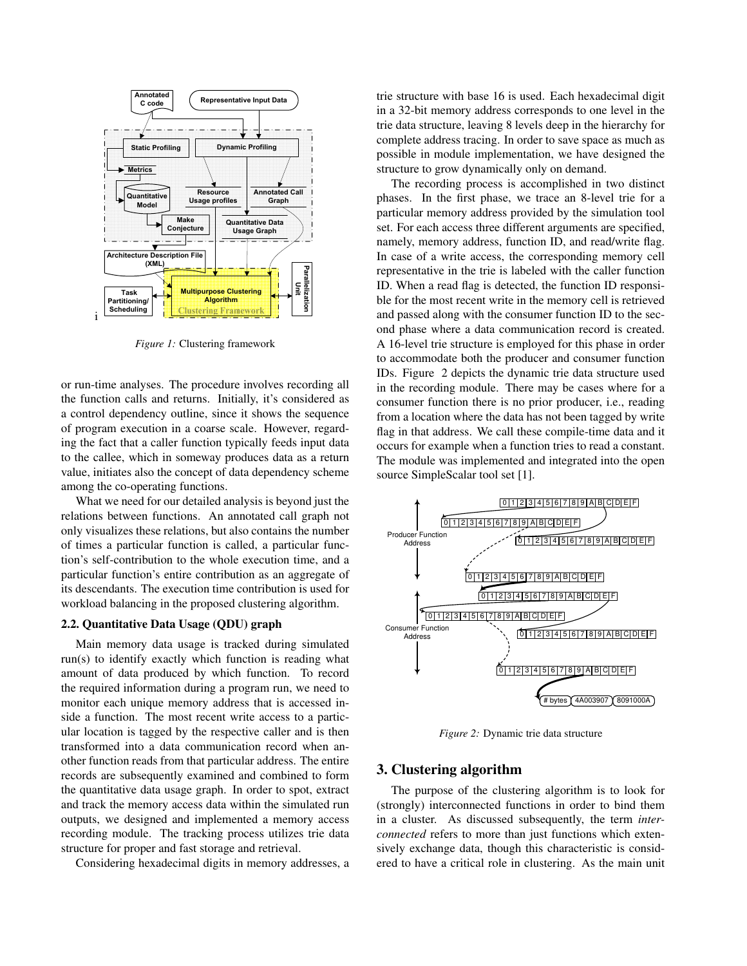

*Figure 1:* Clustering framework

or run-time analyses. The procedure involves recording all the function calls and returns. Initially, it's considered as a control dependency outline, since it shows the sequence of program execution in a coarse scale. However, regarding the fact that a caller function typically feeds input data to the callee, which in someway produces data as a return value, initiates also the concept of data dependency scheme among the co-operating functions.

What we need for our detailed analysis is beyond just the relations between functions. An annotated call graph not only visualizes these relations, but also contains the number of times a particular function is called, a particular function's self-contribution to the whole execution time, and a particular function's entire contribution as an aggregate of its descendants. The execution time contribution is used for workload balancing in the proposed clustering algorithm.

#### 2.2. Quantitative Data Usage (QDU) graph

Main memory data usage is tracked during simulated run(s) to identify exactly which function is reading what amount of data produced by which function. To record the required information during a program run, we need to monitor each unique memory address that is accessed inside a function. The most recent write access to a particular location is tagged by the respective caller and is then transformed into a data communication record when another function reads from that particular address. The entire records are subsequently examined and combined to form the quantitative data usage graph. In order to spot, extract and track the memory access data within the simulated run outputs, we designed and implemented a memory access recording module. The tracking process utilizes trie data structure for proper and fast storage and retrieval.

Considering hexadecimal digits in memory addresses, a

trie structure with base 16 is used. Each hexadecimal digit in a 32-bit memory address corresponds to one level in the trie data structure, leaving 8 levels deep in the hierarchy for complete address tracing. In order to save space as much as possible in module implementation, we have designed the structure to grow dynamically only on demand.

The recording process is accomplished in two distinct phases. In the first phase, we trace an 8-level trie for a particular memory address provided by the simulation tool set. For each access three different arguments are specified, namely, memory address, function ID, and read/write flag. In case of a write access, the corresponding memory cell representative in the trie is labeled with the caller function ID. When a read flag is detected, the function ID responsible for the most recent write in the memory cell is retrieved and passed along with the consumer function ID to the second phase where a data communication record is created. A 16-level trie structure is employed for this phase in order to accommodate both the producer and consumer function IDs. Figure 2 depicts the dynamic trie data structure used in the recording module. There may be cases where for a consumer function there is no prior producer, i.e., reading from a location where the data has not been tagged by write flag in that address. We call these compile-time data and it occurs for example when a function tries to read a constant. The module was implemented and integrated into the open source SimpleScalar tool set [1].



*Figure 2:* Dynamic trie data structure

#### 3. Clustering algorithm

The purpose of the clustering algorithm is to look for (strongly) interconnected functions in order to bind them in a cluster. As discussed subsequently, the term *interconnected* refers to more than just functions which extensively exchange data, though this characteristic is considered to have a critical role in clustering. As the main unit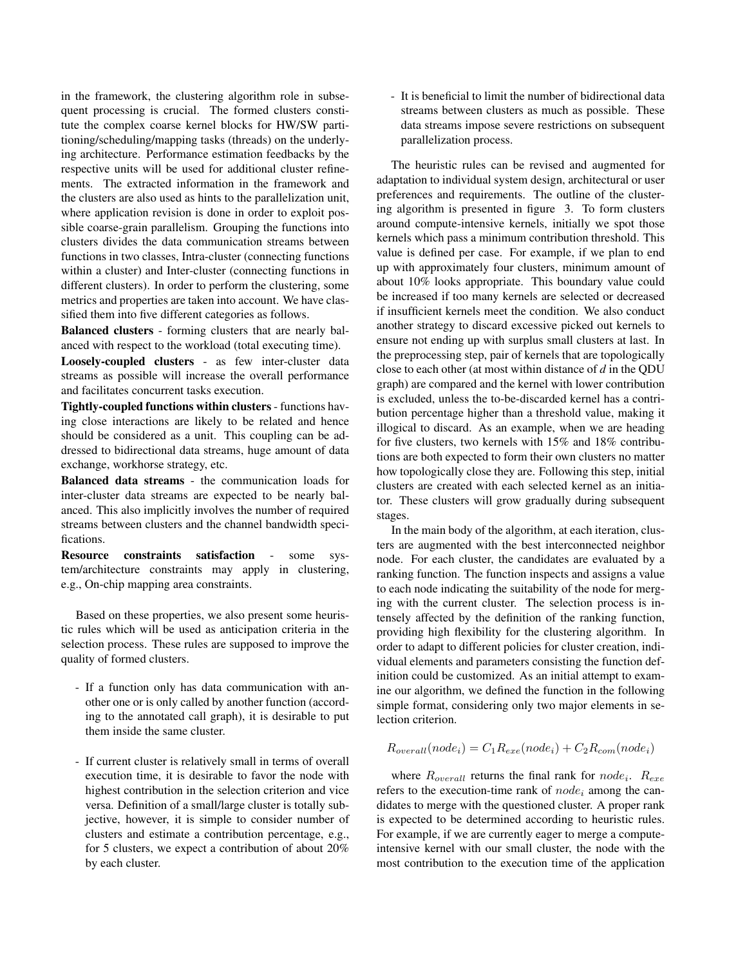in the framework, the clustering algorithm role in subsequent processing is crucial. The formed clusters constitute the complex coarse kernel blocks for HW/SW partitioning/scheduling/mapping tasks (threads) on the underlying architecture. Performance estimation feedbacks by the respective units will be used for additional cluster refinements. The extracted information in the framework and the clusters are also used as hints to the parallelization unit, where application revision is done in order to exploit possible coarse-grain parallelism. Grouping the functions into clusters divides the data communication streams between functions in two classes, Intra-cluster (connecting functions within a cluster) and Inter-cluster (connecting functions in different clusters). In order to perform the clustering, some metrics and properties are taken into account. We have classified them into five different categories as follows.

Balanced clusters - forming clusters that are nearly balanced with respect to the workload (total executing time).

Loosely-coupled clusters - as few inter-cluster data streams as possible will increase the overall performance and facilitates concurrent tasks execution.

Tightly-coupled functions within clusters - functions having close interactions are likely to be related and hence should be considered as a unit. This coupling can be addressed to bidirectional data streams, huge amount of data exchange, workhorse strategy, etc.

Balanced data streams - the communication loads for inter-cluster data streams are expected to be nearly balanced. This also implicitly involves the number of required streams between clusters and the channel bandwidth specifications.

Resource constraints satisfaction - some system/architecture constraints may apply in clustering, e.g., On-chip mapping area constraints.

Based on these properties, we also present some heuristic rules which will be used as anticipation criteria in the selection process. These rules are supposed to improve the quality of formed clusters.

- If a function only has data communication with another one or is only called by another function (according to the annotated call graph), it is desirable to put them inside the same cluster.
- If current cluster is relatively small in terms of overall execution time, it is desirable to favor the node with highest contribution in the selection criterion and vice versa. Definition of a small/large cluster is totally subjective, however, it is simple to consider number of clusters and estimate a contribution percentage, e.g., for 5 clusters, we expect a contribution of about 20% by each cluster.

- It is beneficial to limit the number of bidirectional data streams between clusters as much as possible. These data streams impose severe restrictions on subsequent parallelization process.

The heuristic rules can be revised and augmented for adaptation to individual system design, architectural or user preferences and requirements. The outline of the clustering algorithm is presented in figure 3. To form clusters around compute-intensive kernels, initially we spot those kernels which pass a minimum contribution threshold. This value is defined per case. For example, if we plan to end up with approximately four clusters, minimum amount of about 10% looks appropriate. This boundary value could be increased if too many kernels are selected or decreased if insufficient kernels meet the condition. We also conduct another strategy to discard excessive picked out kernels to ensure not ending up with surplus small clusters at last. In the preprocessing step, pair of kernels that are topologically close to each other (at most within distance of *d* in the QDU graph) are compared and the kernel with lower contribution is excluded, unless the to-be-discarded kernel has a contribution percentage higher than a threshold value, making it illogical to discard. As an example, when we are heading for five clusters, two kernels with 15% and 18% contributions are both expected to form their own clusters no matter how topologically close they are. Following this step, initial clusters are created with each selected kernel as an initiator. These clusters will grow gradually during subsequent stages.

In the main body of the algorithm, at each iteration, clusters are augmented with the best interconnected neighbor node. For each cluster, the candidates are evaluated by a ranking function. The function inspects and assigns a value to each node indicating the suitability of the node for merging with the current cluster. The selection process is intensely affected by the definition of the ranking function, providing high flexibility for the clustering algorithm. In order to adapt to different policies for cluster creation, individual elements and parameters consisting the function definition could be customized. As an initial attempt to examine our algorithm, we defined the function in the following simple format, considering only two major elements in selection criterion.

$$
R_{overall}(node_i) = C_1 R_{exe}(node_i) + C_2 R_{com}(node_i)
$$

where  $R_{overall}$  returns the final rank for  $node_i$ .  $R_{exe}$ refers to the execution-time rank of  $node_i$  among the candidates to merge with the questioned cluster. A proper rank is expected to be determined according to heuristic rules. For example, if we are currently eager to merge a computeintensive kernel with our small cluster, the node with the most contribution to the execution time of the application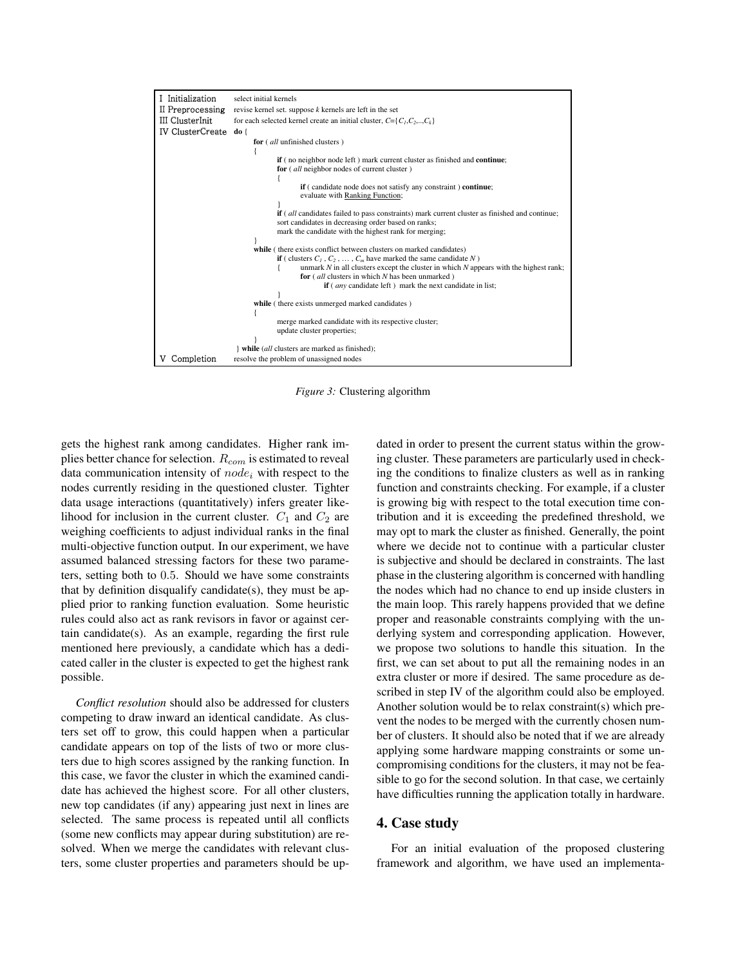

*Figure 3:* Clustering algorithm

gets the highest rank among candidates. Higher rank implies better chance for selection.  $R_{com}$  is estimated to reveal data communication intensity of  $node_i$  with respect to the nodes currently residing in the questioned cluster. Tighter data usage interactions (quantitatively) infers greater likelihood for inclusion in the current cluster.  $C_1$  and  $C_2$  are weighing coefficients to adjust individual ranks in the final multi-objective function output. In our experiment, we have assumed balanced stressing factors for these two parameters, setting both to 0.5. Should we have some constraints that by definition disqualify candidate(s), they must be applied prior to ranking function evaluation. Some heuristic rules could also act as rank revisors in favor or against certain candidate(s). As an example, regarding the first rule mentioned here previously, a candidate which has a dedicated caller in the cluster is expected to get the highest rank possible.

*Conflict resolution* should also be addressed for clusters competing to draw inward an identical candidate. As clusters set off to grow, this could happen when a particular candidate appears on top of the lists of two or more clusters due to high scores assigned by the ranking function. In this case, we favor the cluster in which the examined candidate has achieved the highest score. For all other clusters, new top candidates (if any) appearing just next in lines are selected. The same process is repeated until all conflicts (some new conflicts may appear during substitution) are resolved. When we merge the candidates with relevant clusters, some cluster properties and parameters should be updated in order to present the current status within the growing cluster. These parameters are particularly used in checking the conditions to finalize clusters as well as in ranking function and constraints checking. For example, if a cluster is growing big with respect to the total execution time contribution and it is exceeding the predefined threshold, we may opt to mark the cluster as finished. Generally, the point where we decide not to continue with a particular cluster is subjective and should be declared in constraints. The last phase in the clustering algorithm is concerned with handling the nodes which had no chance to end up inside clusters in the main loop. This rarely happens provided that we define proper and reasonable constraints complying with the underlying system and corresponding application. However, we propose two solutions to handle this situation. In the first, we can set about to put all the remaining nodes in an extra cluster or more if desired. The same procedure as described in step IV of the algorithm could also be employed. Another solution would be to relax constraint(s) which prevent the nodes to be merged with the currently chosen number of clusters. It should also be noted that if we are already applying some hardware mapping constraints or some uncompromising conditions for the clusters, it may not be feasible to go for the second solution. In that case, we certainly have difficulties running the application totally in hardware.

### 4. Case study

For an initial evaluation of the proposed clustering framework and algorithm, we have used an implementa-